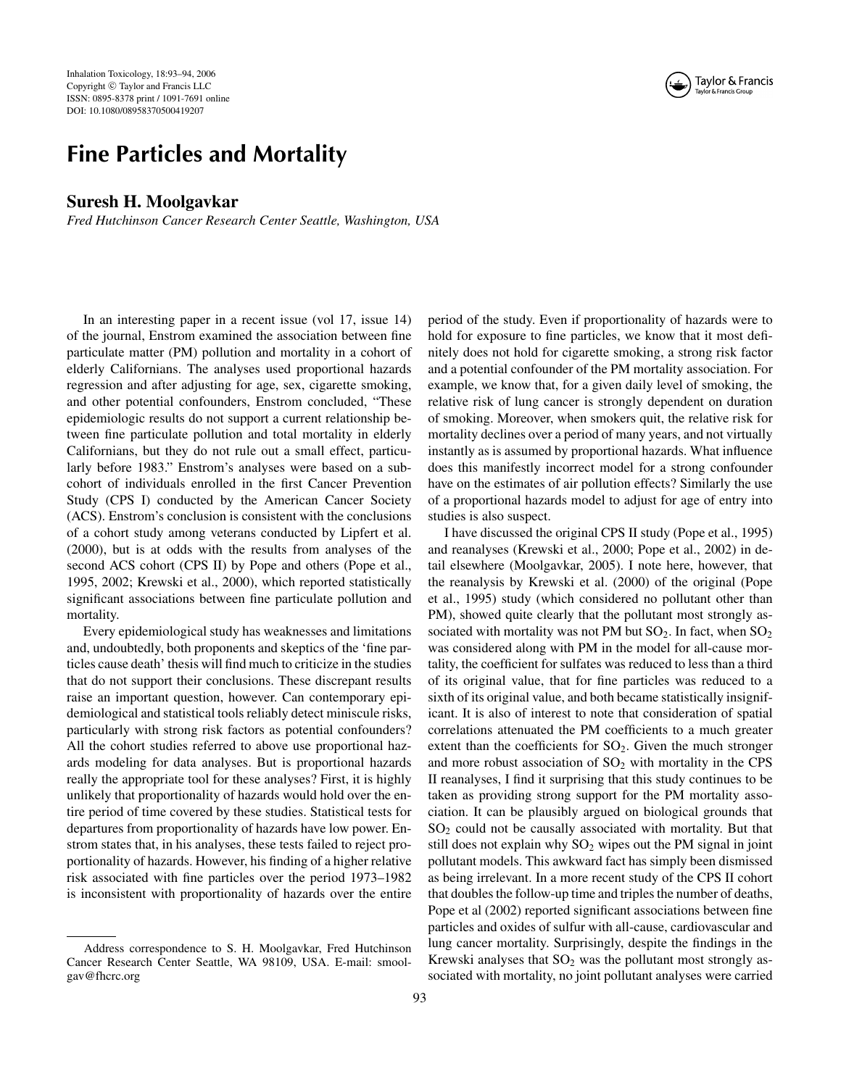Inhalation Toxicology, 18:93–94, 2006 Copyright  $\odot$  Taylor and Francis LLC ISSN: 0895-8378 print / 1091-7691 online DOI: 10.1080/08958370500419207

## **Fine Particles and Mortality**

## **Suresh H. Moolgavkar**

*Fred Hutchinson Cancer Research Center Seattle, Washington, USA*

In an interesting paper in a recent issue (vol 17, issue 14) of the journal, Enstrom examined the association between fine particulate matter (PM) pollution and mortality in a cohort of elderly Californians. The analyses used proportional hazards regression and after adjusting for age, sex, cigarette smoking, and other potential confounders, Enstrom concluded, "These epidemiologic results do not support a current relationship between fine particulate pollution and total mortality in elderly Californians, but they do not rule out a small effect, particularly before 1983." Enstrom's analyses were based on a subcohort of individuals enrolled in the first Cancer Prevention Study (CPS I) conducted by the American Cancer Society (ACS). Enstrom's conclusion is consistent with the conclusions of a cohort study among veterans conducted by Lipfert et al. (2000), but is at odds with the results from analyses of the second ACS cohort (CPS II) by Pope and others (Pope et al., 1995, 2002; Krewski et al., 2000), which reported statistically significant associations between fine particulate pollution and mortality.

Every epidemiological study has weaknesses and limitations and, undoubtedly, both proponents and skeptics of the 'fine particles cause death' thesis will find much to criticize in the studies that do not support their conclusions. These discrepant results raise an important question, however. Can contemporary epidemiological and statistical tools reliably detect miniscule risks, particularly with strong risk factors as potential confounders? All the cohort studies referred to above use proportional hazards modeling for data analyses. But is proportional hazards really the appropriate tool for these analyses? First, it is highly unlikely that proportionality of hazards would hold over the entire period of time covered by these studies. Statistical tests for departures from proportionality of hazards have low power. Enstrom states that, in his analyses, these tests failed to reject proportionality of hazards. However, his finding of a higher relative risk associated with fine particles over the period 1973–1982 is inconsistent with proportionality of hazards over the entire

Address correspondence to S. H. Moolgavkar, Fred Hutchinson Cancer Research Center Seattle, WA 98109, USA. E-mail: smoolgav@fhcrc.org



period of the study. Even if proportionality of hazards were to hold for exposure to fine particles, we know that it most definitely does not hold for cigarette smoking, a strong risk factor and a potential confounder of the PM mortality association. For example, we know that, for a given daily level of smoking, the relative risk of lung cancer is strongly dependent on duration of smoking. Moreover, when smokers quit, the relative risk for mortality declines over a period of many years, and not virtually instantly as is assumed by proportional hazards. What influence does this manifestly incorrect model for a strong confounder have on the estimates of air pollution effects? Similarly the use of a proportional hazards model to adjust for age of entry into studies is also suspect.

I have discussed the original CPS II study (Pope et al., 1995) and reanalyses (Krewski et al., 2000; Pope et al., 2002) in detail elsewhere (Moolgavkar, 2005). I note here, however, that the reanalysis by Krewski et al. (2000) of the original (Pope et al., 1995) study (which considered no pollutant other than PM), showed quite clearly that the pollutant most strongly associated with mortality was not PM but  $SO_2$ . In fact, when  $SO_2$ was considered along with PM in the model for all-cause mortality, the coefficient for sulfates was reduced to less than a third of its original value, that for fine particles was reduced to a sixth of its original value, and both became statistically insignificant. It is also of interest to note that consideration of spatial correlations attenuated the PM coefficients to a much greater extent than the coefficients for  $SO_2$ . Given the much stronger and more robust association of  $SO<sub>2</sub>$  with mortality in the CPS II reanalyses, I find it surprising that this study continues to be taken as providing strong support for the PM mortality association. It can be plausibly argued on biological grounds that  $SO<sub>2</sub>$  could not be causally associated with mortality. But that still does not explain why  $SO<sub>2</sub>$  wipes out the PM signal in joint pollutant models. This awkward fact has simply been dismissed as being irrelevant. In a more recent study of the CPS II cohort that doubles the follow-up time and triples the number of deaths, Pope et al (2002) reported significant associations between fine particles and oxides of sulfur with all-cause, cardiovascular and lung cancer mortality. Surprisingly, despite the findings in the Krewski analyses that  $SO_2$  was the pollutant most strongly associated with mortality, no joint pollutant analyses were carried